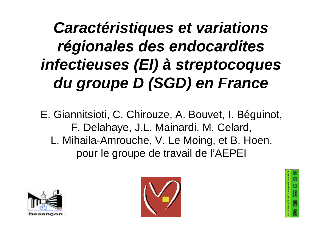## *Caractéristiques et variations régionales des endocardites infectieuses (EI) à streptocoques du groupe D (SGD) en France*

E. Giannitsioti, C. Chirouze, A. Bouvet, I. Béguinot, F. Delahaye, J.L. Mainardi, M. Celard, L. Mihaila-Amrouche, V. Le Moing, et B. Hoen, pour le groupe de travail de l'AEPEI





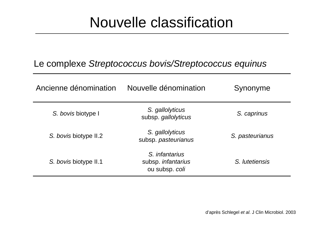### Nouvelle classification

#### Le complexe *Streptococcus bovis/Streptococcus equinus*

| Ancienne dénomination | Nouvelle dénomination                                         | Synonyme        |
|-----------------------|---------------------------------------------------------------|-----------------|
| S. bovis biotype I    | S. gallolyticus<br>subsp. gallolyticus                        | S. caprinus     |
| S. bovis biotype II.2 | S. gallolyticus<br>subsp. pasteurianus                        | S. pasteurianus |
| S. bovis biotype II.1 | S. <i>infantarius</i><br>subsp. infantarius<br>ou subsp. coli | S. lutetiensis  |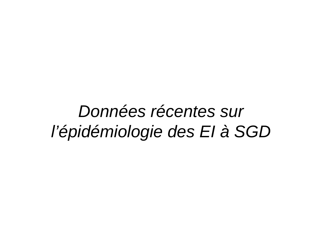## *Données récentes sur l'épidémiologie des EI à SGD*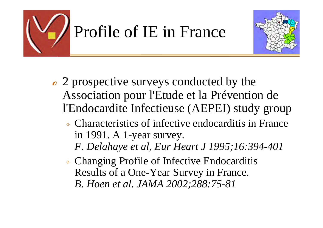



- $\epsilon$  2 prospective surveys conducted by the Association pour l'Etude et la Prévention de l'Endocardite Infectieuse (AEPEI) study group
	- ⌱ Characteristics of infective endocarditis in France in 1991. A 1-year survey.
		- *F. Delahaye et al, Eur Heart J 1995;16:394-401*
	- ⌱ Changing Profile of Infective Endocarditis Results of a One-Year Survey in France. *B. Hoen et al. JAMA 2002;288:75-81*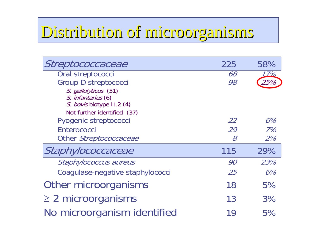## Distribution of microorganisms Distribution of microorganisms

| Streptococcaceae                 | 225                                                       | 58% |
|----------------------------------|-----------------------------------------------------------|-----|
| Oral streptococci                | <i>68</i>                                                 | 17% |
| Group D streptococci             | 98                                                        |     |
| S. gallolyticus (51)             |                                                           |     |
| S. infantarius (6)               |                                                           |     |
| S. bovis biotype II.2 (4)        |                                                           |     |
| Not further identified (37)      |                                                           |     |
| Pyogenic streptococci            | 22                                                        | 6%  |
| Enterococci                      | 29                                                        | 7%  |
| Other Streptococcaceae           | $\mathcal{S}% _{M_{1},M_{2}}^{\alpha,\beta}(\mathcal{A})$ | 2%  |
| Staphylococcaceae                | 115                                                       | 29% |
| Staphylococcus aureus            | 90                                                        | 23% |
| Coagulase-negative staphylococci | <i>25</i>                                                 | 6%  |
| Other microorganisms             | 18                                                        | 5%  |
| $\geq$ 2 microorganisms          | 13                                                        | 3%  |
| No microorganism identified      | 19                                                        | 5%  |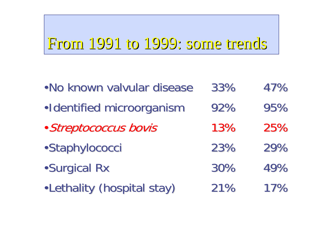## From 1991 to 1999: some trends

| . No known valvular disease | 33% | 47% |
|-----------------------------|-----|-----|
| ·Identified microorganism   | 92% | 95% |
| · Streptococcus bovis       | 13% | 25% |
| ·Staphylococci              | 23% | 29% |
| <b>.Surgical Rx</b>         | 30% | 49% |
| . Lethality (hospital stay) | 21% | 17% |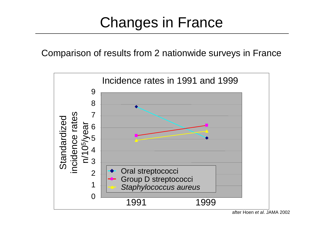### Changes in France

Comparison of results from 2 nationwide surveys in France



after Hoen *et al*. JAMA 2002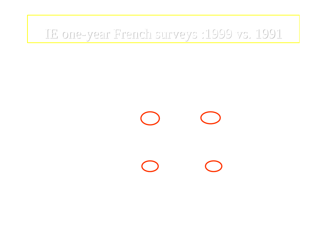#### IE one-year French surveys :1999 vs. 1991 year French surveys :1999 vs. 1991

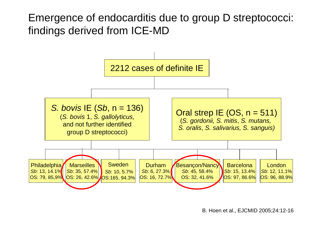Emergence of endocarditis due to group D streptococci: findings derived from ICE-MD



B. Hoen et al., EJCMID 2005;24:12-16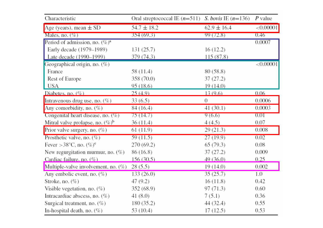| Characteristic                              | Oral streptococcal IE $(n=511)$ <i>S. bovis</i> IE $(n=136)$ <i>P</i> value |                 |              |
|---------------------------------------------|-----------------------------------------------------------------------------|-----------------|--------------|
| Age (years), mean $\pm$ SD                  | $54.7 \pm 18.2$                                                             | $62.9 \pm 16.4$ | < 0.00001    |
| Males, no. $(\%)$                           | 354(69.3)                                                                   | 99 (72.8)       | 0.46         |
| Period of admission, no. $(\%)^a$           |                                                                             |                 | 0.0007       |
| Early decade (1979-1989)                    | 131 (25.7)                                                                  | 16 (12.2)       |              |
| Late decade (1990–1999)                     | 379(74.3)                                                                   | 115 (87.8)      |              |
| Geographical origin, no. (%)                |                                                                             |                 | ${<}0.00001$ |
| France                                      | 58 (11.4)                                                                   | 80 (58.8)       |              |
| Rest of Europe                              | 358 (70.0)                                                                  | 37 (27.2)       |              |
| USA                                         | 95 (18.6)                                                                   | 19 (14.0)       |              |
| Diabetes, no. $(\%)$                        | 25(4.9)                                                                     | 13(9.6)         | 0.06         |
| Intravenous drug use, no. $(\%)$            | 33(6.5)                                                                     | 0               | 0.0006       |
| Any comorbidity, no. (%)                    | 84 (16.4)                                                                   | 41 (30.1)       | 0.0003       |
| Congenital heart disease, no. (%)           | 75(14.7)                                                                    | 9(6.6)          | 0.01         |
| Mitral valve prolapse, no. $(\%)^b$         | 36 (11.4)                                                                   | 4 (4.5)         | 0.07         |
| Prior valve surgery, no. $(\%)$             | 61 (11.9)                                                                   | 29 (21.3)       | 0.008        |
| Prosthetic valve, no. $(\%)$                | 59(11.5)                                                                    | 27(19.9)        | 0.02         |
| Fever > 38 $^{\circ}$ C, no. $(\%)^{\circ}$ | 270 (69.2)                                                                  | 65 (79.3)       | 0.08         |
| New regurgitation murmur, no. $(\%)$        | 86 (16.8)                                                                   | 37 (27.2)       | 0.009        |
| Cardiac failure, no. (%)                    | 156 (30.5)                                                                  | 49 (36.0)       | 0.25         |
| Multiple-valve involvement, no. $(\%)$      | 28(5.5)                                                                     | 19 (14.0)       | 0.002        |
| Any embolic event, no. $(\%)$               | 133 (26.0)                                                                  | 35(25.7)        | 1.0          |
| Stroke, no. $(\%)$                          | 47 (9.2)                                                                    | 16 (11.8)       | 0.42         |
| Visible vegetation, no. (%)                 | 352 (68.9)                                                                  | 97 (71.3)       | 0.60         |
| Intracardiac abscess, no. (%)               | 41 (8.0)                                                                    | 7(5.1)          | 0.36         |
| Surgical treatment, no. $(\%)$              | 180 (35.2)                                                                  | 44 (32.4)       | 0.55         |
| In-hospital death, no. (%)                  | 53 (10.4)                                                                   | 17 (12.5)       | 0.53         |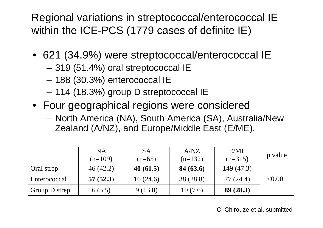Regional variations in streptococcal/enterococcal IE within the ICE-PCS (1779 cases of definite IE)

- 621 (34.9%) were streptococcal/enterococcal IE
	- –319 (51.4%) oral streptococcal IE
	- –188 (30.3%) enterococcal IE
	- –114 (18.3%) group D streptococcal IE
- Four geographical regions were considered
	- – North America (NA), South America (SA), Australia/New Zealand (A/NZ), and Europe/Middle East (E/ME).

|               | <b>NA</b><br>$(n=109)$ | <b>SA</b><br>$(n=65)$ | A/NZ<br>$(n=132)$ | E/ME<br>$(n=315)$ | p value |
|---------------|------------------------|-----------------------|-------------------|-------------------|---------|
| Oral strep    | 46(42.2)               | 40(61.5)              | 84(63.6)          | 149 (47.3)        |         |
| Enterococcal  | 57(52.3)               | 16(24.6)              | 38 (28.8)         | 77 (24.4)         | < 0.001 |
| Group D strep | 6(5.5)                 | 9(13.8)               | 10(7.6)           | 89(28.3)          |         |

C. Chirouze et al, submitted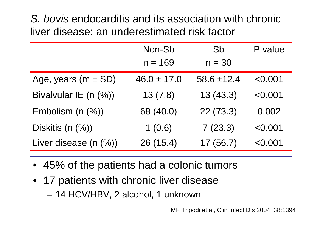*S. bovis* endocarditis and its association with chronic liver disease: an underestimated risk factor

|                           | Non-Sb          | Sb              | P value |
|---------------------------|-----------------|-----------------|---------|
|                           | $n = 169$       | $n = 30$        |         |
| Age, years ( $m \pm SD$ ) | $46.0 \pm 17.0$ | $58.6 \pm 12.4$ | < 0.001 |
| Bivalvular IE (n (%))     | 13(7.8)         | 13(43.3)        | < 0.001 |
| Embolism $(n \, (%)$      | 68 (40.0)       | 22(73.3)        | 0.002   |
| Diskitis (n (%))          | 1(0.6)          | 7(23.3)         | < 0.001 |
| Liver disease $(n \, (%)$ | 26 (15.4)       | 17(56.7)        | < 0.001 |

- •45% of the patients had a colonic tumors
- • 17 patients with chronic liver disease –14 HCV/HBV, 2 alcohol, 1 unknown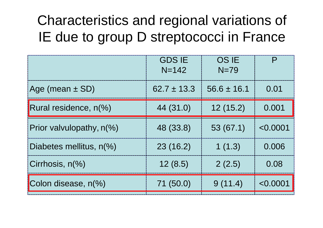### Characteristics and regional variations of IE due to group D streptococci in France

|                          | <b>GDS IE</b><br>$N = 142$ | <b>OS IE</b><br>$N=79$ |          |
|--------------------------|----------------------------|------------------------|----------|
| Age (mean $\pm$ SD)      | $62.7 \pm 13.3$            | $56.6 \pm 16.1$        | 0.01     |
| Rural residence, n(%)    | 44 (31.0)                  | 12(15.2)               | 0.001    |
| Prior valvulopathy, n(%) | 48 (33.8)                  | 53(67.1)               | < 0.0001 |
| Diabetes mellitus, n(%)  | 23(16.2)                   | 1(1.3)                 | 0.006    |
| Cirrhosis, n(%)          | 12(8.5)                    | 2(2.5)                 | 0.08     |
| Colon disease, n(%)      | 71 (50.0)                  | 9(11.4)                | < 0.0001 |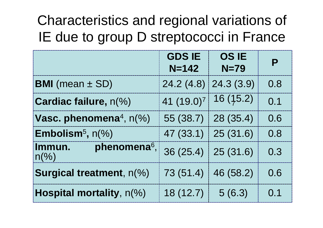### Characteristics and regional variations of IE due to group D streptococci in France

|                                                        | <b>GDS IE</b><br>$N = 142$ | <b>OS IE</b><br>$N=79$ | Р   |
|--------------------------------------------------------|----------------------------|------------------------|-----|
| <b>BMI</b> (mean $\pm$ SD)                             | 24.2(4.8)                  | 24.3(3.9)              | 0.8 |
| <b>Cardiac failure, n(%)</b>                           | 41 (19.0) <sup>7</sup>     | 16 (15.2)              | 0.1 |
| Vasc. phenomena <sup>4</sup> , $n\ll 8$ )              | 55 (38.7)                  | 28 (35.4)              | 0.6 |
| <b>Embolism<sup>5</sup>, <math>n\frac{6}{6}</math></b> | 47 (33.1)                  | 25(31.6)               | 0.8 |
| phenomena <sup>6</sup> ,<br>Immun.<br>$n\frac{9}{6}$   | 36(25.4)                   | 25(31.6)               | 0.3 |
| <b>Surgical treatment, n(%)</b>                        | 73 (51.4)                  | 46 (58.2)              | 0.6 |
| Hospital mortality, n(%)                               | 18 (12.7)                  | 5(6.3)                 | 0.1 |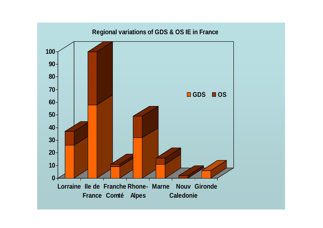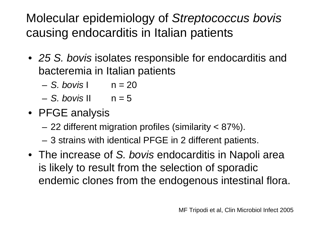Molecular epidemiology of *Streptococcus bovis*  causing endocarditis in Italian patients

- *25 S. bovis* isolates responsible for endocarditis and bacteremia in Italian patients
	- *S. bovis* I n = 20
	- *S. bovis* II n = 5
- PFGE analysis
	- 22 different migration profiles (similarity < 87%).
	- 3 strains with identical PFGE in 2 different patients.
- The increase of *S. bovis* endocarditis in Napoli area is likely to result from the selection of sporadic endemic clones from the endogenous intestinal flora.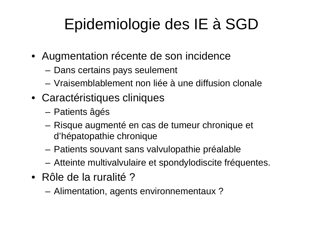## Epidemiologie des IE à SGD

- Augmentation récente de son incidence
	- **Links of the Company** Dans certains pays seulement
	- Vraisemblablement non liée à une diffusion clonale
- Caractéristiques cliniques
	- –Patients âgés
	- – Risque augmenté en cas de tumeur chronique et d'hépatopathie chronique
	- and the state of the Patients souvant sans valvulopathie préalable
	- and the state of the Atteinte multivalvulaire et spondylodiscite fréquentes.
- Rôle de la ruralité ?
	- **Links of the Company** Alimentation, agents environnementaux ?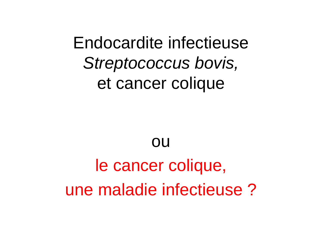## Endocardite infectieuse *Streptococcus bovis,* et cancer colique

# ou le cancer colique, une maladie infectieuse ?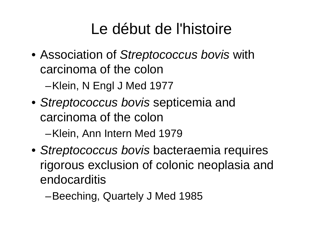## Le début de l'histoire

- Association of *Streptococcus bovis* with carcinoma of the colon –Klein, N Engl J Med 1977
- *Streptococcus bovis* septicemia and carcinoma of the colon –Klein, Ann Intern Med 1979
- *Streptococcus bovis* bacteraemia requires rigorous exclusion of colonic neoplasia and endocarditis
	- –Beeching, Quartely J Med 1985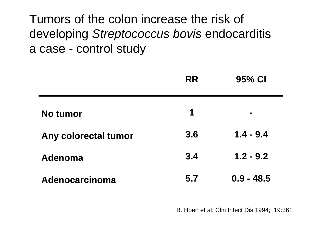Tumors of the colon increase the risk of developing *Streptococcus bovis* endocarditis a case - control study

|                      | <b>RR</b> | 95% CI         |
|----------------------|-----------|----------------|
| No tumor             | 1         | $\blacksquare$ |
| Any colorectal tumor | 3.6       | $1.4 - 9.4$    |
| Adenoma              | 3.4       | $1.2 - 9.2$    |
| Adenocarcinoma       | 5.7       | $0.9 - 48.5$   |

B. Hoen et al, Clin Infect Dis 1994; ;19:361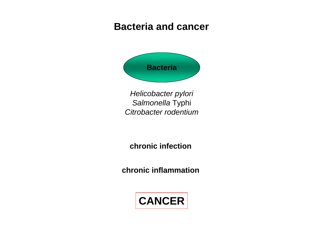#### **Bacteria and cancer**



*Helicobacter pylori Salmonella* Typhi *Citrobacter rodentium*

**chronic infection** 

**chronic inflammation** 

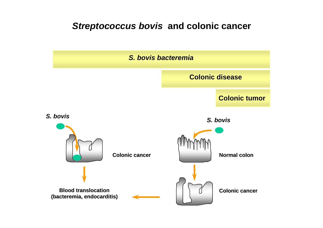#### *Streptococcus bovis* **and colonic cancer**